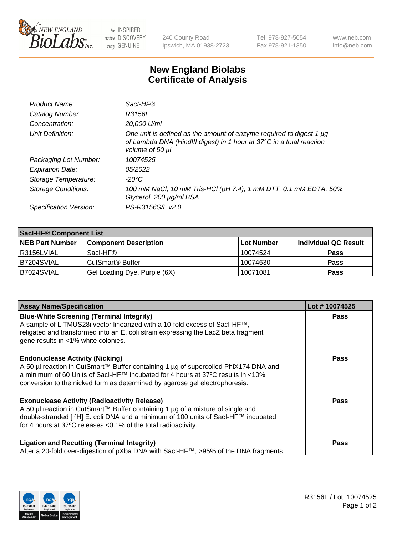

 $be$  INSPIRED drive DISCOVERY stay GENUINE

240 County Road Ipswich, MA 01938-2723 Tel 978-927-5054 Fax 978-921-1350 www.neb.com info@neb.com

## **New England Biolabs Certificate of Analysis**

| Product Name:              | Sacl-HF®                                                                                                                                                        |
|----------------------------|-----------------------------------------------------------------------------------------------------------------------------------------------------------------|
| Catalog Number:            | R3156L                                                                                                                                                          |
| Concentration:             | 20,000 U/ml                                                                                                                                                     |
| Unit Definition:           | One unit is defined as the amount of enzyme required to digest 1 µg<br>of Lambda DNA (HindIII digest) in 1 hour at 37°C in a total reaction<br>volume of 50 µl. |
| Packaging Lot Number:      | 10074525                                                                                                                                                        |
| <b>Expiration Date:</b>    | 05/2022                                                                                                                                                         |
| Storage Temperature:       | -20°C                                                                                                                                                           |
| <b>Storage Conditions:</b> | 100 mM NaCl, 10 mM Tris-HCl (pH 7.4), 1 mM DTT, 0.1 mM EDTA, 50%<br>Glycerol, 200 µg/ml BSA                                                                     |
| Specification Version:     | PS-R3156S/L v2.0                                                                                                                                                |

| <b>Saci-HF® Component List</b> |                              |            |                      |  |  |
|--------------------------------|------------------------------|------------|----------------------|--|--|
| <b>NEB Part Number</b>         | <b>Component Description</b> | Lot Number | Individual QC Result |  |  |
| l R3156LVIAL                   | Sacl-HF®                     | 10074524   | <b>Pass</b>          |  |  |
| IB7204SVIAL                    | CutSmart <sup>®</sup> Buffer | 10074630   | <b>Pass</b>          |  |  |
| B7024SVIAL                     | Gel Loading Dye, Purple (6X) | 10071081   | <b>Pass</b>          |  |  |

| <b>Assay Name/Specification</b>                                                                                                                                                                                                                                                                            | Lot #10074525 |
|------------------------------------------------------------------------------------------------------------------------------------------------------------------------------------------------------------------------------------------------------------------------------------------------------------|---------------|
| <b>Blue-White Screening (Terminal Integrity)</b><br>A sample of LITMUS28i vector linearized with a 10-fold excess of SacI-HF™,<br>religated and transformed into an E. coli strain expressing the LacZ beta fragment<br>gene results in <1% white colonies.                                                | <b>Pass</b>   |
| <b>Endonuclease Activity (Nicking)</b><br>A 50 µl reaction in CutSmart™ Buffer containing 1 µg of supercoiled PhiX174 DNA and<br>a minimum of 60 Units of Sacl-HF™ incubated for 4 hours at 37°C results in <10%<br>conversion to the nicked form as determined by agarose gel electrophoresis.            | Pass          |
| <b>Exonuclease Activity (Radioactivity Release)</b><br>A 50 µl reaction in CutSmart™ Buffer containing 1 µg of a mixture of single and<br>double-stranded [ <sup>3</sup> H] E. coli DNA and a minimum of 100 units of Sacl-HF™ incubated<br>for 4 hours at 37°C releases <0.1% of the total radioactivity. | <b>Pass</b>   |
| <b>Ligation and Recutting (Terminal Integrity)</b><br>After a 20-fold over-digestion of pXba DNA with Sacl-HF™, >95% of the DNA fragments                                                                                                                                                                  | Pass          |